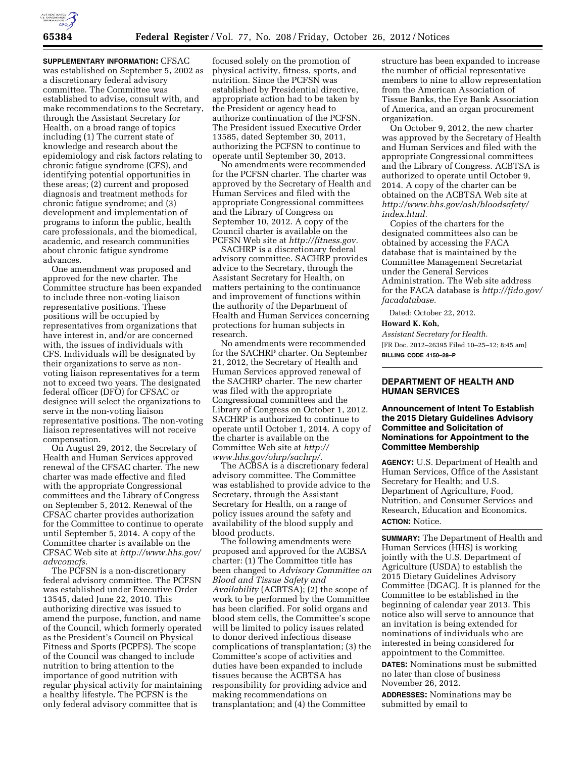

**SUPPLEMENTARY INFORMATION:** CFSAC was established on September 5, 2002 as a discretionary federal advisory committee. The Committee was established to advise, consult with, and make recommendations to the Secretary, through the Assistant Secretary for Health, on a broad range of topics including (1) The current state of knowledge and research about the epidemiology and risk factors relating to chronic fatigue syndrome (CFS), and identifying potential opportunities in these areas; (2) current and proposed diagnosis and treatment methods for chronic fatigue syndrome; and (3) development and implementation of programs to inform the public, health care professionals, and the biomedical, academic, and research communities about chronic fatigue syndrome advances.

One amendment was proposed and approved for the new charter. The Committee structure has been expanded to include three non-voting liaison representative positions. These positions will be occupied by representatives from organizations that have interest in, and/or are concerned with, the issues of individuals with CFS. Individuals will be designated by their organizations to serve as nonvoting liaison representatives for a term not to exceed two years. The designated federal officer (DFO) for CFSAC or designee will select the organizations to serve in the non-voting liaison representative positions. The non-voting liaison representatives will not receive compensation.

On August 29, 2012, the Secretary of Health and Human Services approved renewal of the CFSAC charter. The new charter was made effective and filed with the appropriate Congressional committees and the Library of Congress on September 5, 2012. Renewal of the CFSAC charter provides authorization for the Committee to continue to operate until September 5, 2014. A copy of the Committee charter is available on the CFSAC Web site at *[http://www.hhs.gov/](http://www.hhs.gov/advcomcfs) [advcomcfs.](http://www.hhs.gov/advcomcfs)* 

The PCFSN is a non-discretionary federal advisory committee. The PCFSN was established under Executive Order 13545, dated June 22, 2010. This authorizing directive was issued to amend the purpose, function, and name of the Council, which formerly operated as the President's Council on Physical Fitness and Sports (PCPFS). The scope of the Council was changed to include nutrition to bring attention to the importance of good nutrition with regular physical activity for maintaining a healthy lifestyle. The PCFSN is the only federal advisory committee that is

focused solely on the promotion of physical activity, fitness, sports, and nutrition. Since the PCFSN was established by Presidential directive, appropriate action had to be taken by the President or agency head to authorize continuation of the PCFSN. The President issued Executive Order 13585, dated September 30, 2011, authorizing the PCFSN to continue to operate until September 30, 2013.

No amendments were recommended for the PCFSN charter. The charter was approved by the Secretary of Health and Human Services and filed with the appropriate Congressional committees and the Library of Congress on September 10, 2012. A copy of the Council charter is available on the PCFSN Web site at *[http://fitness.gov.](http://fitness.gov)* 

SACHRP is a discretionary federal advisory committee. SACHRP provides advice to the Secretary, through the Assistant Secretary for Health, on matters pertaining to the continuance and improvement of functions within the authority of the Department of Health and Human Services concerning protections for human subjects in research.

No amendments were recommended for the SACHRP charter. On September 21, 2012, the Secretary of Health and Human Services approved renewal of the SACHRP charter. The new charter was filed with the appropriate Congressional committees and the Library of Congress on October 1, 2012. SACHRP is authorized to continue to operate until October 1, 2014. A copy of the charter is available on the Committee Web site at *[http://](http://www.hhs.gov/ohrp/sachrp/)  [www.hhs.gov/ohrp/sachrp/.](http://www.hhs.gov/ohrp/sachrp/)* 

The ACBSA is a discretionary federal advisory committee. The Committee was established to provide advice to the Secretary, through the Assistant Secretary for Health, on a range of policy issues around the safety and availability of the blood supply and blood products.

The following amendments were proposed and approved for the ACBSA charter: (1) The Committee title has been changed to *Advisory Committee on Blood and Tissue Safety and Availability* (ACBTSA); (2) the scope of work to be performed by the Committee has been clarified. For solid organs and blood stem cells, the Committee's scope will be limited to policy issues related to donor derived infectious disease complications of transplantation; (3) the Committee's scope of activities and duties have been expanded to include tissues because the ACBTSA has responsibility for providing advice and making recommendations on transplantation; and (4) the Committee

structure has been expanded to increase the number of official representative members to nine to allow representation from the American Association of Tissue Banks, the Eye Bank Association of America, and an organ procurement organization.

On October 9, 2012, the new charter was approved by the Secretary of Health and Human Services and filed with the appropriate Congressional committees and the Library of Congress. ACBTSA is authorized to operate until October 9, 2014. A copy of the charter can be obtained on the ACBTSA Web site at *[http://www.hhs.gov/ash/bloodsafety/](http://www.hhs.gov/ash/bloodsafety/index.html)  [index.html.](http://www.hhs.gov/ash/bloodsafety/index.html)* 

Copies of the charters for the designated committees also can be obtained by accessing the FACA database that is maintained by the Committee Management Secretariat under the General Services Administration. The Web site address for the FACA database is *[http://fido.gov/](http://fido.gov/facadatabase)  [facadatabase.](http://fido.gov/facadatabase)* 

Dated: October 22, 2012.

#### **Howard K. Koh,**

*Assistant Secretary for Health.*  [FR Doc. 2012–26395 Filed 10–25–12; 8:45 am] **BILLING CODE 4150–28–P** 

# **DEPARTMENT OF HEALTH AND HUMAN SERVICES**

### **Announcement of Intent To Establish the 2015 Dietary Guidelines Advisory Committee and Solicitation of Nominations for Appointment to the Committee Membership**

**AGENCY:** U.S. Department of Health and Human Services, Office of the Assistant Secretary for Health; and U.S. Department of Agriculture, Food, Nutrition, and Consumer Services and Research, Education and Economics. **ACTION:** Notice.

**SUMMARY:** The Department of Health and Human Services (HHS) is working jointly with the U.S. Department of Agriculture (USDA) to establish the 2015 Dietary Guidelines Advisory Committee (DGAC). It is planned for the Committee to be established in the beginning of calendar year 2013. This notice also will serve to announce that an invitation is being extended for nominations of individuals who are interested in being considered for appointment to the Committee.

**DATES:** Nominations must be submitted no later than close of business November 26, 2012.

**ADDRESSES:** Nominations may be submitted by email to